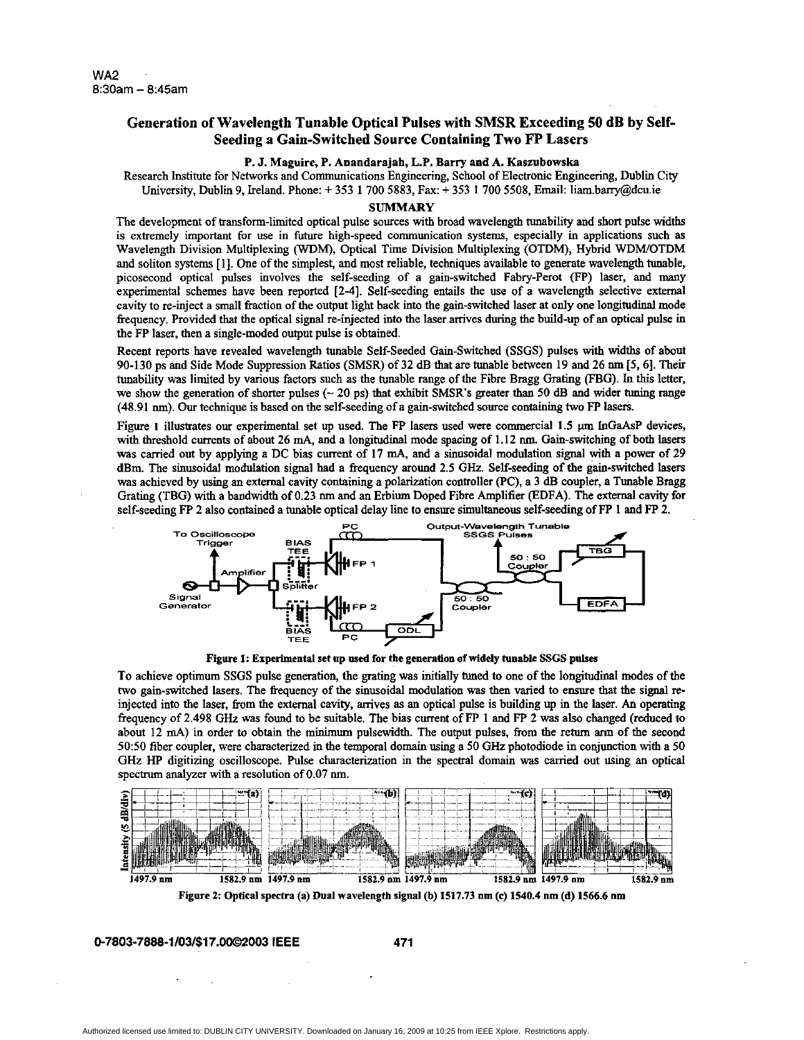## **Generation of Wavelength Tunable Optical Pulses with SMSR Exceeding 50 dB by Self-Seeding a Gain-Switched Source Containing Two FP Lasers**

## P. J. Maguire, P. Anandarajah, L.P. Barry and A. **Knszubowska**

Research Institute for Networks and Communications Engineering, School of Electronic Engineering, Dublin City University, Dublin 9, Ireland. Phone: + 353 1 700 5883, Fax: + 353 1 700 5508, Email: liam.bany@dcu.ie

## **SUMMARY**

The development of transform-limited optical pulse sources with broad wavelength tunability and short pulse widths is extremely important for use in future high-speed communication systems, especially in applications such **as**  Wavelength Division Multiplexing (WDM), Optical Time Division Multiplexing (OTDM), Hybrid WDWOTDM and soliton systems [ 11. One of **the** simplest, and most reliable, techniques available to generate wavelength tunable, picosecond optical pulses involves the self-seeding of a gain-switched Fahry-Perot (FP) laser, and many experimental schemes have been reported [2-4]. Self-seeding entails the use of a wavelength selective external cavity to re-inject a small fraction of the output light back **into** the gain-switched **laser** at **only** one longitudinal mode fiequency. Provided that the optical signal re-injected into the laser arrives during the build-up of an optical pulse in the FP laser, then a single-moded output pulse is obtained.

Recent reports have revealed wavelength tunable Self-seeded Gain-Switched (SSGS) pulses with widths of about 90-130 ps and Side Mode Suppression Ratios (SMSR) of 32 **dB** that are tunable between 19 and 26 nm [5, 61. Their tunability was limited by various factors such as the tunable range of the Fibre Bragg Grating (FBG). In *this* letter, we show the generation of shorter pulses (~ 20 ps) that exhibit SMSR's greater than 50 dB and wider tuning range (48.91 nm). Our technique is based on the self-seeding of a gain-switched source containing **two** FP lase\*.

Figure I illustrates **our** experimental set up used. The FP lasers used were commercial 1.5 **pm InGaAsP** devices, with threshold currents of about 26 **mA,** and a longitudinal mode spacing of 1.12 **nm.** Gain-switching of both **lasers**  was carried out by applying a DC bias current of 17 **mA,** and a sinusoidal modulation signal with a power of 29 dBm. The sinusoidal modulation signal had a frequency around 2.5 *GHz.* Self-seeding of the gain-switched lasers was achieved by using an external cavity containing a polarization controller (PC), a 3 **dB** coupler, a Tunable Bragg Grating (TBG) with a bandwidth of 0.23 nm and an Erbium Doped Fibre Amplifier (EDFA). The external cavity for



**Figure 1:** Experimental **set up used for the generation of widely tunable SSGS pulses** 

**To** achieve optimum SSGS pulse generation, the grating was initially **tuned** to one of the longitudiil modes of the two gain-switched lasers. The frequency of the sinusoidal modulation was then varied to ensure that the signal reinjected into the laser, **from** the external cavity, arrives **as** an optical pulse is building up in the laser. **An** operating fiequency of 2.498 *GHz* was found to be suitable. The bias current of FP 1 and FP 2 **was** also changed (reduced to about 12 mA) in order to obtain the minimum pulsewidth. The output pulses, from the return arm of the second 5050 fiber coupler, were characterized in the temporal domain using a *50 GHz* photodiode in conjunction with a *50 GHz HP* digitizing oscilloscope. Pulse characterization in the spectral domain was carried out using an optical



Figure *2:* Optical spectra **(a) Dual wavelength signal** @) **1517.73 nm (e) 1540.4 nm (d) 1566.6 om** 

**0-7803-7888-1/03/\$17.0002003 IEEE 471**